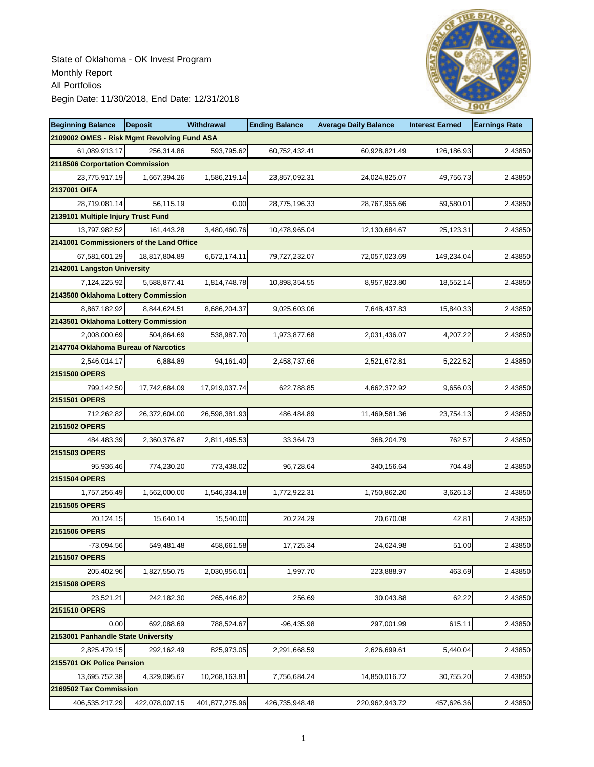

| <b>Beginning Balance</b>                    | <b>Deposit</b> | <b>Withdrawal</b> | <b>Ending Balance</b> | <b>Average Daily Balance</b> | <b>Interest Earned</b> | <b>Earnings Rate</b> |
|---------------------------------------------|----------------|-------------------|-----------------------|------------------------------|------------------------|----------------------|
| 2109002 OMES - Risk Mgmt Revolving Fund ASA |                |                   |                       |                              |                        |                      |
| 61,089,913.17                               | 256,314.86     | 593,795.62        | 60,752,432.41         | 60,928,821.49                | 126,186.93             | 2.43850              |
| 2118506 Corportation Commission             |                |                   |                       |                              |                        |                      |
| 23,775,917.19                               | 1,667,394.26   | 1,586,219.14      | 23,857,092.31         | 24,024,825.07                | 49,756.73              | 2.43850              |
| 2137001 OIFA                                |                |                   |                       |                              |                        |                      |
| 28,719,081.14                               | 56,115.19      | 0.00              | 28,775,196.33         | 28,767,955.66                | 59,580.01              | 2.43850              |
| 2139101 Multiple Injury Trust Fund          |                |                   |                       |                              |                        |                      |
| 13,797,982.52                               | 161,443.28     | 3,480,460.76      | 10,478,965.04         | 12,130,684.67                | 25,123.31              | 2.43850              |
| 2141001 Commissioners of the Land Office    |                |                   |                       |                              |                        |                      |
| 67,581,601.29                               | 18.817.804.89  | 6.672.174.11      | 79,727,232.07         | 72,057,023.69                | 149,234.04             | 2.43850              |
| 2142001 Langston University                 |                |                   |                       |                              |                        |                      |
| 7,124,225.92                                | 5,588,877.41   | 1,814,748.78      | 10,898,354.55         | 8,957,823.80                 | 18,552.14              | 2.43850              |
| 2143500 Oklahoma Lottery Commission         |                |                   |                       |                              |                        |                      |
| 8,867,182.92                                | 8,844,624.51   | 8,686,204.37      | 9,025,603.06          | 7,648,437.83                 | 15,840.33              | 2.43850              |
| 2143501 Oklahoma Lottery Commission         |                |                   |                       |                              |                        |                      |
| 2,008,000.69                                | 504,864.69     | 538,987.70        | 1,973,877.68          | 2,031,436.07                 | 4,207.22               | 2.43850              |
| 2147704 Oklahoma Bureau of Narcotics        |                |                   |                       |                              |                        |                      |
| 2,546,014.17                                | 6,884.89       | 94,161.40         | 2,458,737.66          | 2,521,672.81                 | 5,222.52               | 2.43850              |
| 2151500 OPERS                               |                |                   |                       |                              |                        |                      |
| 799,142.50                                  | 17,742,684.09  | 17,919,037.74     | 622,788.85            | 4,662,372.92                 | 9,656.03               | 2.43850              |
| 2151501 OPERS                               |                |                   |                       |                              |                        |                      |
| 712,262.82                                  | 26,372,604.00  | 26,598,381.93     | 486,484.89            | 11,469,581.36                | 23,754.13              | 2.43850              |
| 2151502 OPERS                               |                |                   |                       |                              |                        |                      |
| 484,483.39                                  | 2,360,376.87   | 2,811,495.53      | 33,364.73             | 368,204.79                   | 762.57                 | 2.43850              |
| 2151503 OPERS                               |                |                   |                       |                              |                        |                      |
| 95,936.46                                   | 774,230.20     | 773,438.02        | 96,728.64             | 340,156.64                   | 704.48                 | 2.43850              |
| 2151504 OPERS                               |                |                   |                       |                              |                        |                      |
| 1,757,256.49                                | 1,562,000.00   | 1,546,334.18      | 1,772,922.31          | 1,750,862.20                 | 3,626.13               | 2.43850              |
| 2151505 OPERS                               |                |                   |                       |                              |                        |                      |
| 20,124.15                                   | 15,640.14      | 15,540.00         | 20,224.29             | 20,670.08                    | 42.81                  | 2.43850              |
| 2151506 OPERS                               |                |                   |                       |                              |                        |                      |
| $-73,094.56$                                | 549,481.48     | 458,661.58        | 17,725.34             | 24,624.98                    | 51.00                  | 2.43850              |
| 2151507 OPERS                               |                |                   |                       |                              |                        |                      |
| 205,402.96                                  | 1,827,550.75   | 2,030,956.01      | 1,997.70              | 223.888.97                   | 463.69                 | 2.43850              |
| 2151508 OPERS                               |                |                   |                       |                              |                        |                      |
| 23,521.21                                   | 242,182.30     | 265,446.82        | 256.69                | 30,043.88                    | 62.22                  | 2.43850              |
| 2151510 OPERS                               |                |                   |                       |                              |                        |                      |
| 0.00                                        | 692,088.69     | 788,524.67        | $-96.435.98$          | 297,001.99                   | 615.11                 | 2.43850              |
| 2153001 Panhandle State University          |                |                   |                       |                              |                        |                      |
| 2,825,479.15                                | 292,162.49     | 825,973.05        | 2,291,668.59          | 2,626,699.61                 | 5,440.04               | 2.43850              |
| 2155701 OK Police Pension                   |                |                   |                       |                              |                        |                      |
| 13,695,752.38                               | 4,329,095.67   | 10,268,163.81     | 7,756,684.24          | 14,850,016.72                | 30,755.20              | 2.43850              |
| 2169502 Tax Commission                      |                |                   |                       |                              |                        |                      |
| 406,535,217.29                              | 422,078,007.15 | 401,877,275.96    | 426,735,948.48        | 220,962,943.72               | 457,626.36             | 2.43850              |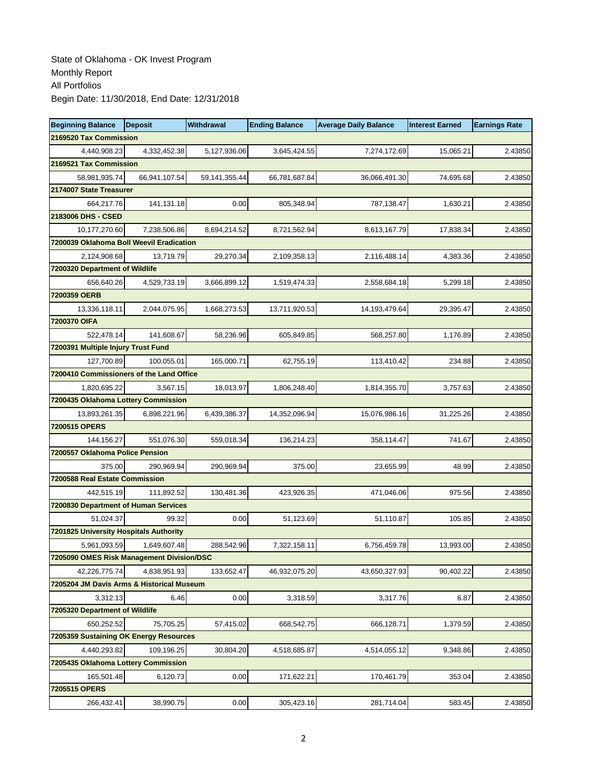| <b>Beginning Balance</b>                             | <b>Deposit</b> | Withdrawal       | <b>Ending Balance</b> | <b>Average Daily Balance</b> | <b>Interest Earned</b> | <b>Earnings Rate</b> |
|------------------------------------------------------|----------------|------------------|-----------------------|------------------------------|------------------------|----------------------|
| 2169520 Tax Commission                               |                |                  |                       |                              |                        |                      |
| 4,440,908.23                                         | 4,332,452.38   | 5,127,936.06     | 3,645,424.55          | 7,274,172.69                 | 15,065.21              | 2.43850              |
| 2169521 Tax Commission                               |                |                  |                       |                              |                        |                      |
| 58,981,935.74                                        | 66.941.107.54  | 59, 141, 355. 44 | 66,781,687.84         | 36,066,491.30                | 74,695.68              | 2.43850              |
| 2174007 State Treasurer                              |                |                  |                       |                              |                        |                      |
| 664,217.76                                           | 141,131.18     | 0.00             | 805,348.94            | 787,138.47                   | 1,630.21               | 2.43850              |
| 2183006 DHS - CSED                                   |                |                  |                       |                              |                        |                      |
| 10,177,270.60                                        | 7,238,506.86   | 8,694,214.52     | 8,721,562.94          | 8,613,167.79                 | 17,838.34              | 2.43850              |
| 7200039 Oklahoma Boll Weevil Eradication             |                |                  |                       |                              |                        |                      |
| 2,124,908.68                                         | 13.719.79      | 29,270.34        | 2,109,358.13          | 2,116,488.14                 | 4,383.36               | 2.43850              |
| 7200320 Department of Wildlife                       |                |                  |                       |                              |                        |                      |
| 656,640.26                                           | 4,529,733.19   | 3,666,899.12     | 1,519,474.33          | 2,558,684.18                 | 5,299.18               | 2.43850              |
| 7200359 OERB                                         |                |                  |                       |                              |                        |                      |
| 13,336,118.11                                        | 2,044,075.95   | 1,668,273.53     | 13,711,920.53         | 14, 193, 479. 64             | 29,395.47              | 2.43850              |
| 7200370 OIFA                                         |                |                  |                       |                              |                        |                      |
| 522,478.14                                           | 141,608.67     | 58,236.96        | 605,849.85            | 568,257.80                   | 1,176.89               | 2.43850              |
| 7200391 Multiple Injury Trust Fund                   |                |                  |                       |                              |                        |                      |
| 127,700.89                                           | 100,055.01     | 165,000.71       | 62,755.19             | 113,410.42                   | 234.88                 | 2.43850              |
| 7200410 Commissioners of the Land Office             |                |                  |                       |                              |                        |                      |
| 1,820,695.22                                         | 3,567.15       | 18,013.97        | 1,806,248.40          | 1,814,355.70                 | 3,757.63               | 2.43850              |
| 7200435 Oklahoma Lottery Commission                  |                |                  |                       |                              |                        |                      |
| 13,893,261.35                                        | 6,898,221.96   | 6,439,386.37     | 14,352,096.94         | 15,076,986.16                | 31,225.26              | 2.43850              |
| 7200515 OPERS                                        |                |                  |                       |                              |                        |                      |
| 144,156.27                                           | 551,076.30     | 559,018.34       | 136,214.23            | 358,114.47                   | 741.67                 | 2.43850              |
| 7200557 Oklahoma Police Pension                      |                |                  |                       |                              |                        |                      |
| 375.00                                               | 290,969.94     | 290,969.94       | 375.00                | 23,655.99                    | 48.99                  | 2.43850              |
| 7200588 Real Estate Commission                       |                |                  |                       |                              |                        |                      |
| 442,515.19                                           | 111,892.52     | 130,481.36       | 423,926.35            | 471,046.06                   | 975.56                 | 2.43850              |
| 7200830 Department of Human Services                 |                |                  |                       |                              |                        |                      |
| 51,024.37                                            | 99.32          | 0.00             | 51,123.69             | 51,110.87                    | 105.85                 | 2.43850              |
| 7201825 University Hospitals Authority               |                |                  |                       |                              |                        |                      |
| 5,961,093.59                                         | 1,649,607.48   | 288,542.96       | 7,322,158.11          | 6,756,459.78                 | 13,993.00              | 2.43850              |
| 7205090 OMES Risk Management Division/DSC            |                |                  |                       |                              |                        |                      |
| 42,226,775.74                                        | 4,838,951.93   | 133,652.47       | 46,932,075.20         | 43,650,327.93                | 90,402.22              | 2.43850              |
| 7205204 JM Davis Arms & Historical Museum            |                |                  |                       |                              |                        |                      |
| 3,312.13                                             | 6.46           | 0.00             | 3,318.59              | 3,317.76                     | 6.87                   | 2.43850              |
| 7205320 Department of Wildlife                       |                |                  |                       |                              |                        |                      |
| 650,252.52<br>7205359 Sustaining OK Energy Resources | 75,705.25      | 57,415.02        | 668,542.75            | 666,128.71                   | 1,379.59               | 2.43850              |
|                                                      |                |                  |                       |                              |                        |                      |
| 4,440,293.82<br>7205435 Oklahoma Lottery Commission  | 109,196.25     | 30,804.20        | 4,518,685.87          | 4,514,055.12                 | 9,348.86               | 2.43850              |
| 165,501.48                                           | 6,120.73       | 0.00             | 171,622.21            | 170,461.79                   | 353.04                 | 2.43850              |
| 7205515 OPERS                                        |                |                  |                       |                              |                        |                      |
| 266,432.41                                           | 38,990.75      | 0.00             | 305,423.16            | 281,714.04                   | 583.45                 | 2.43850              |
|                                                      |                |                  |                       |                              |                        |                      |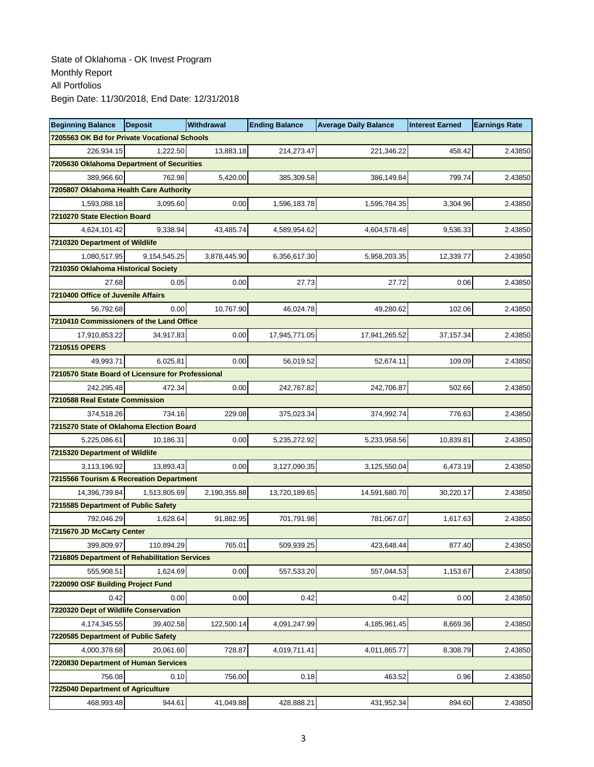| <b>Beginning Balance</b>                          | <b>Deposit</b> | <b>Withdrawal</b> | <b>Ending Balance</b> | <b>Average Daily Balance</b> | <b>Interest Earned</b> | <b>Earnings Rate</b> |
|---------------------------------------------------|----------------|-------------------|-----------------------|------------------------------|------------------------|----------------------|
| 7205563 OK Bd for Private Vocational Schools      |                |                   |                       |                              |                        |                      |
| 226,934.15                                        | 1,222.50       | 13,883.18         | 214,273.47            | 221,346.22                   | 458.42                 | 2.43850              |
| 7205630 Oklahoma Department of Securities         |                |                   |                       |                              |                        |                      |
| 389,966.60                                        | 762.98         | 5,420.00          | 385,309.58            | 386,149.84                   | 799.74                 | 2.43850              |
| 7205807 Oklahoma Health Care Authority            |                |                   |                       |                              |                        |                      |
| 1,593,088.18                                      | 3,095.60       | 0.00              | 1,596,183.78          | 1,595,784.35                 | 3,304.96               | 2.43850              |
| 7210270 State Election Board                      |                |                   |                       |                              |                        |                      |
| 4,624,101.42                                      | 9,338.94       | 43,485.74         | 4,589,954.62          | 4,604,578.48                 | 9,536.33               | 2.43850              |
| 7210320 Department of Wildlife                    |                |                   |                       |                              |                        |                      |
| 1.080.517.95                                      | 9,154,545.25   | 3,878,445.90      | 6,356,617.30          | 5,958,203.35                 | 12,339.77              | 2.43850              |
| 7210350 Oklahoma Historical Society               |                |                   |                       |                              |                        |                      |
| 27.68                                             | 0.05           | 0.00              | 27.73                 | 27.72                        | 0.06                   | 2.43850              |
| 7210400 Office of Juvenile Affairs                |                |                   |                       |                              |                        |                      |
| 56,792.68                                         | 0.00           | 10,767.90         | 46,024.78             | 49,280.62                    | 102.06                 | 2.43850              |
| 7210410 Commissioners of the Land Office          |                |                   |                       |                              |                        |                      |
| 17,910,853.22                                     | 34,917.83      | 0.00              | 17,945,771.05         | 17,941,265.52                | 37,157.34              | 2.43850              |
| 7210515 OPERS                                     |                |                   |                       |                              |                        |                      |
| 49,993.71                                         | 6,025.81       | 0.00              | 56.019.52             | 52,674.11                    | 109.09                 | 2.43850              |
| 7210570 State Board of Licensure for Professional |                |                   |                       |                              |                        |                      |
| 242,295.48                                        | 472.34         | 0.00              | 242,767.82            | 242,706.87                   | 502.66                 | 2.43850              |
| 7210588 Real Estate Commission                    |                |                   |                       |                              |                        |                      |
| 374,518.26                                        | 734.16         | 229.08            | 375,023.34            | 374,992.74                   | 776.63                 | 2.43850              |
| 7215270 State of Oklahoma Election Board          |                |                   |                       |                              |                        |                      |
| 5,225,086.61                                      | 10,186.31      | 0.00              | 5,235,272.92          | 5,233,958.56                 | 10,839.81              | 2.43850              |
| 7215320 Department of Wildlife                    |                |                   |                       |                              |                        |                      |
| 3,113,196.92                                      | 13,893.43      | 0.00              | 3,127,090.35          | 3,125,550.04                 | 6,473.19               | 2.43850              |
| 7215566 Tourism & Recreation Department           |                |                   |                       |                              |                        |                      |
| 14,396,739.84                                     | 1,513,805.69   | 2,190,355.88      | 13,720,189.65         | 14,591,680.70                | 30,220.17              | 2.43850              |
| 7215585 Department of Public Safety               |                |                   |                       |                              |                        |                      |
| 792,046.29                                        | 1,628.64       | 91,882.95         | 701,791.98            | 781,067.07                   | 1,617.63               | 2.43850              |
| 7215670 JD McCarty Center                         |                |                   |                       |                              |                        |                      |
| 399,809.97                                        | 110,894.29     | 765.01            | 509,939.25            | 423,648.44                   | 877.40                 | 2.43850              |
| 7216805 Department of Rehabilitation Services     |                |                   |                       |                              |                        |                      |
| 555,908.51                                        | 1,624.69       | 0.00              | 557,533.20            | 557,044.53                   | 1,153.67               | 2.43850              |
| 7220090 OSF Building Project Fund                 |                |                   |                       |                              |                        |                      |
| 0.42                                              | 0.00           | 0.00              | 0.42                  | 0.42                         | 0.00                   | 2.43850              |
| 7220320 Dept of Wildlife Conservation             |                |                   |                       |                              |                        |                      |
| 4,174,345.55                                      | 39,402.58      | 122,500.14        | 4,091,247.99          | 4,185,961.45                 | 8,669.36               | 2.43850              |
| 7220585 Department of Public Safety               |                |                   |                       |                              |                        |                      |
| 4,000,378.68                                      | 20,061.60      | 728.87            | 4,019,711.41          | 4,011,865.77                 | 8,308.79               | 2.43850              |
| 7220830 Department of Human Services              |                |                   |                       |                              |                        |                      |
| 756.08                                            | 0.10           | 756.00            | 0.18                  | 463.52                       | 0.96                   | 2.43850              |
| 7225040 Department of Agriculture                 |                |                   |                       |                              |                        |                      |
| 468,993.48                                        | 944.61         | 41,049.88         | 428,888.21            | 431,952.34                   | 894.60                 | 2.43850              |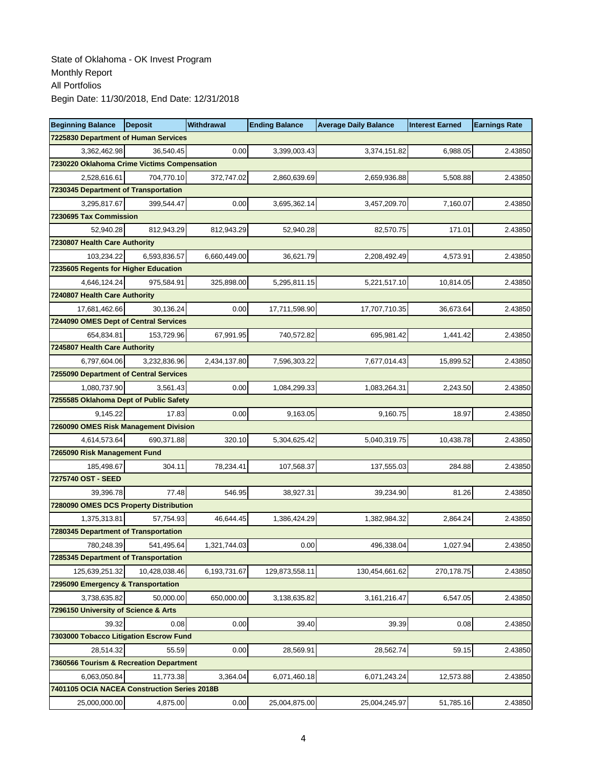| <b>Beginning Balance</b>                     | <b>Deposit</b> | <b>Withdrawal</b> | <b>Ending Balance</b> | <b>Average Daily Balance</b> | <b>Interest Earned</b> | <b>Earnings Rate</b> |
|----------------------------------------------|----------------|-------------------|-----------------------|------------------------------|------------------------|----------------------|
| <b>7225830 Department of Human Services</b>  |                |                   |                       |                              |                        |                      |
| 3,362,462.98                                 | 36,540.45      | 0.00              | 3,399,003.43          | 3,374,151.82                 | 6,988.05               | 2.43850              |
| 7230220 Oklahoma Crime Victims Compensation  |                |                   |                       |                              |                        |                      |
| 2,528,616.61                                 | 704,770.10     | 372,747.02        | 2,860,639.69          | 2,659,936.88                 | 5,508.88               | 2.43850              |
| 7230345 Department of Transportation         |                |                   |                       |                              |                        |                      |
| 3,295,817.67                                 | 399,544.47     | 0.00              | 3,695,362.14          | 3,457,209.70                 | 7,160.07               | 2.43850              |
| 7230695 Tax Commission                       |                |                   |                       |                              |                        |                      |
| 52,940.28                                    | 812,943.29     | 812,943.29        | 52,940.28             | 82,570.75                    | 171.01                 | 2.43850              |
| 7230807 Health Care Authority                |                |                   |                       |                              |                        |                      |
| 103,234.22                                   | 6.593.836.57   | 6,660,449.00      | 36,621.79             | 2,208,492.49                 | 4,573.91               | 2.43850              |
| 7235605 Regents for Higher Education         |                |                   |                       |                              |                        |                      |
| 4,646,124.24                                 | 975,584.91     | 325,898.00        | 5,295,811.15          | 5,221,517.10                 | 10,814.05              | 2.43850              |
| 7240807 Health Care Authority                |                |                   |                       |                              |                        |                      |
| 17,681,462.66                                | 30,136.24      | 0.00              | 17,711,598.90         | 17,707,710.35                | 36.673.64              | 2.43850              |
| 7244090 OMES Dept of Central Services        |                |                   |                       |                              |                        |                      |
| 654,834.81                                   | 153.729.96     | 67,991.95         | 740,572.82            | 695,981.42                   | 1,441.42               | 2.43850              |
| 7245807 Health Care Authority                |                |                   |                       |                              |                        |                      |
| 6,797,604.06                                 | 3.232.836.96   | 2,434,137.80      | 7,596,303.22          | 7,677,014.43                 | 15,899.52              | 2.43850              |
| 7255090 Department of Central Services       |                |                   |                       |                              |                        |                      |
| 1,080,737.90                                 | 3,561.43       | 0.00              | 1,084,299.33          | 1,083,264.31                 | 2,243.50               | 2.43850              |
| 7255585 Oklahoma Dept of Public Safety       |                |                   |                       |                              |                        |                      |
| 9,145.22                                     | 17.83          | 0.00              | 9,163.05              | 9,160.75                     | 18.97                  | 2.43850              |
| 7260090 OMES Risk Management Division        |                |                   |                       |                              |                        |                      |
| 4,614,573.64                                 | 690,371.88     | 320.10            | 5,304,625.42          | 5,040,319.75                 | 10,438.78              | 2.43850              |
| 7265090 Risk Management Fund                 |                |                   |                       |                              |                        |                      |
| 185,498.67                                   | 304.11         | 78,234.41         | 107,568.37            | 137,555.03                   | 284.88                 | 2.43850              |
| 7275740 OST - SEED                           |                |                   |                       |                              |                        |                      |
| 39,396.78                                    | 77.48          | 546.95            | 38,927.31             | 39,234.90                    | 81.26                  | 2.43850              |
| 7280090 OMES DCS Property Distribution       |                |                   |                       |                              |                        |                      |
| 1,375,313.81                                 | 57,754.93      | 46,644.45         | 1,386,424.29          | 1,382,984.32                 | 2,864.24               | 2.43850              |
| 7280345 Department of Transportation         |                |                   |                       |                              |                        |                      |
| 780,248.39                                   | 541,495.64     | 1,321,744.03      | 0.00                  | 496,338.04                   | 1,027.94               | 2.43850              |
| 7285345 Department of Transportation         |                |                   |                       |                              |                        |                      |
| 125,639,251.32                               | 10,428,038.46  | 6,193,731.67      | 129,873,558.11        | 130,454,661.62               | 270, 178.75            | 2.43850              |
| 7295090 Emergency & Transportation           |                |                   |                       |                              |                        |                      |
| 3,738,635.82                                 | 50,000.00      | 650,000.00        | 3,138,635.82          | 3, 161, 216. 47              | 6,547.05               | 2.43850              |
| 7296150 University of Science & Arts         |                |                   |                       |                              |                        |                      |
| 39.32                                        | 0.08           | 0.00              | 39.40                 | 39.39                        | 0.08                   | 2.43850              |
| 7303000 Tobacco Litigation Escrow Fund       |                |                   |                       |                              |                        |                      |
| 28,514.32                                    | 55.59          | 0.00              | 28,569.91             | 28,562.74                    | 59.15                  | 2.43850              |
| 7360566 Tourism & Recreation Department      |                |                   |                       |                              |                        |                      |
| 6,063,050.84                                 | 11,773.38      | 3,364.04          | 6,071,460.18          | 6,071,243.24                 | 12,573.88              | 2.43850              |
| 7401105 OCIA NACEA Construction Series 2018B |                |                   |                       |                              |                        |                      |
| 25,000,000.00                                | 4,875.00       | 0.00              | 25,004,875.00         | 25,004,245.97                | 51,785.16              | 2.43850              |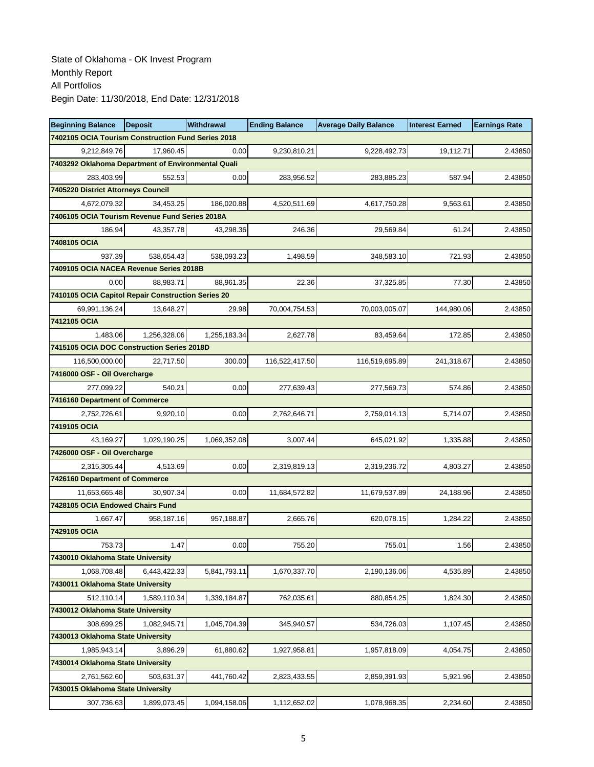| <b>Beginning Balance</b>                           | <b>Deposit</b> | <b>Withdrawal</b> | <b>Ending Balance</b> | <b>Average Daily Balance</b> | <b>Interest Earned</b> | <b>Earnings Rate</b> |
|----------------------------------------------------|----------------|-------------------|-----------------------|------------------------------|------------------------|----------------------|
| 7402105 OCIA Tourism Construction Fund Series 2018 |                |                   |                       |                              |                        |                      |
| 9,212,849.76                                       | 17,960.45      | 0.00              | 9,230,810.21          | 9,228,492.73                 | 19,112.71              | 2.43850              |
| 7403292 Oklahoma Department of Environmental Quali |                |                   |                       |                              |                        |                      |
| 283,403.99                                         | 552.53         | 0.00              | 283,956.52            | 283,885.23                   | 587.94                 | 2.43850              |
| <b>7405220 District Attorneys Council</b>          |                |                   |                       |                              |                        |                      |
| 4,672,079.32                                       | 34,453.25      | 186,020.88        | 4,520,511.69          | 4,617,750.28                 | 9,563.61               | 2.43850              |
| 7406105 OCIA Tourism Revenue Fund Series 2018A     |                |                   |                       |                              |                        |                      |
| 186.94                                             | 43,357.78      | 43,298.36         | 246.36                | 29,569.84                    | 61.24                  | 2.43850              |
| 7408105 OCIA                                       |                |                   |                       |                              |                        |                      |
| 937.39                                             | 538.654.43     | 538,093.23        | 1,498.59              | 348,583.10                   | 721.93                 | 2.43850              |
| 7409105 OCIA NACEA Revenue Series 2018B            |                |                   |                       |                              |                        |                      |
| 0.00                                               | 88,983.71      | 88,961.35         | 22.36                 | 37,325.85                    | 77.30                  | 2.43850              |
| 7410105 OCIA Capitol Repair Construction Series 20 |                |                   |                       |                              |                        |                      |
| 69,991,136.24                                      | 13,648.27      | 29.98             | 70,004,754.53         | 70,003,005.07                | 144,980.06             | 2.43850              |
| 7412105 OCIA                                       |                |                   |                       |                              |                        |                      |
| 1.483.06                                           | 1,256,328.06   | 1,255,183.34      | 2,627.78              | 83,459.64                    | 172.85                 | 2.43850              |
| 7415105 OCIA DOC Construction Series 2018D         |                |                   |                       |                              |                        |                      |
| 116,500,000.00                                     | 22,717.50      | 300.00            | 116,522,417.50        | 116,519,695.89               | 241,318.67             | 2.43850              |
| 7416000 OSF - Oil Overcharge                       |                |                   |                       |                              |                        |                      |
| 277,099.22                                         | 540.21         | 0.00              | 277,639.43            | 277,569.73                   | 574.86                 | 2.43850              |
| 7416160 Department of Commerce                     |                |                   |                       |                              |                        |                      |
| 2,752,726.61                                       | 9,920.10       | 0.00              | 2,762,646.71          | 2,759,014.13                 | 5,714.07               | 2.43850              |
| 7419105 OCIA                                       |                |                   |                       |                              |                        |                      |
| 43,169.27                                          | 1,029,190.25   | 1,069,352.08      | 3,007.44              | 645,021.92                   | 1,335.88               | 2.43850              |
| 7426000 OSF - Oil Overcharge                       |                |                   |                       |                              |                        |                      |
| 2,315,305.44                                       | 4,513.69       | 0.00              | 2,319,819.13          | 2,319,236.72                 | 4,803.27               | 2.43850              |
| 7426160 Department of Commerce                     |                |                   |                       |                              |                        |                      |
| 11,653,665.48                                      | 30,907.34      | 0.00              | 11,684,572.82         | 11,679,537.89                | 24,188.96              | 2.43850              |
| 7428105 OCIA Endowed Chairs Fund                   |                |                   |                       |                              |                        |                      |
| 1,667.47                                           | 958,187.16     | 957,188.87        | 2,665.76              | 620,078.15                   | 1,284.22               | 2.43850              |
| 7429105 OCIA                                       |                |                   |                       |                              |                        |                      |
| 753.73                                             | 1.47           | 0.00              | 755.20                | 755.01                       | 1.56                   | 2.43850              |
| 7430010 Oklahoma State University                  |                |                   |                       |                              |                        |                      |
| 1,068,708.48                                       | 6,443,422.33   | 5,841,793.11      | 1,670,337.70          | 2,190,136.06                 | 4,535.89               | 2.43850              |
| 7430011 Oklahoma State University                  |                |                   |                       |                              |                        |                      |
| 512,110.14                                         | 1,589,110.34   | 1,339,184.87      | 762,035.61            | 880,854.25                   | 1,824.30               | 2.43850              |
| 7430012 Oklahoma State University                  |                |                   |                       |                              |                        |                      |
| 308,699.25                                         | 1,082,945.71   | 1,045,704.39      | 345,940.57            | 534,726.03                   | 1,107.45               | 2.43850              |
| 7430013 Oklahoma State University                  |                |                   |                       |                              |                        |                      |
| 1,985,943.14                                       | 3,896.29       | 61,880.62         | 1,927,958.81          | 1,957,818.09                 | 4,054.75               | 2.43850              |
| 7430014 Oklahoma State University                  |                |                   |                       |                              |                        |                      |
| 2,761,562.60                                       | 503,631.37     | 441,760.42        | 2,823,433.55          | 2,859,391.93                 | 5,921.96               | 2.43850              |
| 7430015 Oklahoma State University                  |                |                   |                       |                              |                        |                      |
| 307,736.63                                         | 1,899,073.45   | 1,094,158.06      | 1,112,652.02          | 1,078,968.35                 | 2,234.60               | 2.43850              |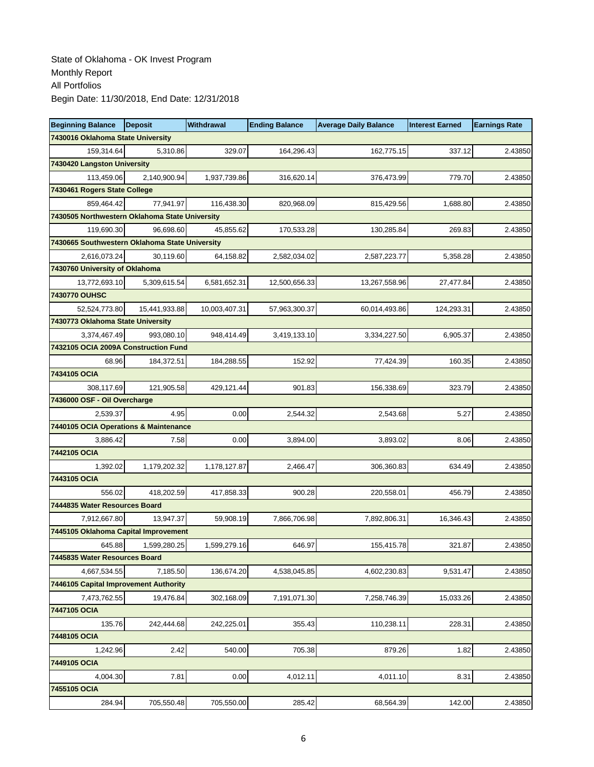| <b>Beginning Balance</b>                       | <b>Deposit</b> | Withdrawal    | <b>Ending Balance</b> | <b>Average Daily Balance</b> | <b>Interest Earned</b> | <b>Earnings Rate</b> |
|------------------------------------------------|----------------|---------------|-----------------------|------------------------------|------------------------|----------------------|
| 7430016 Oklahoma State University              |                |               |                       |                              |                        |                      |
| 159,314.64                                     | 5,310.86       | 329.07        | 164,296.43            | 162,775.15                   | 337.12                 | 2.43850              |
| 7430420 Langston University                    |                |               |                       |                              |                        |                      |
| 113,459.06                                     | 2.140.900.94   | 1,937,739.86  | 316,620.14            | 376,473.99                   | 779.70                 | 2.43850              |
| 7430461 Rogers State College                   |                |               |                       |                              |                        |                      |
| 859,464.42                                     | 77,941.97      | 116,438.30    | 820,968.09            | 815,429.56                   | 1,688.80               | 2.43850              |
| 7430505 Northwestern Oklahoma State University |                |               |                       |                              |                        |                      |
| 119,690.30                                     | 96,698.60      | 45,855.62     | 170,533.28            | 130,285.84                   | 269.83                 | 2.43850              |
| 7430665 Southwestern Oklahoma State University |                |               |                       |                              |                        |                      |
| 2,616,073.24                                   | 30,119.60      | 64,158.82     | 2,582,034.02          | 2,587,223.77                 | 5,358.28               | 2.43850              |
| 7430760 University of Oklahoma                 |                |               |                       |                              |                        |                      |
| 13,772,693.10                                  | 5,309,615.54   | 6,581,652.31  | 12,500,656.33         | 13,267,558.96                | 27,477.84              | 2.43850              |
| 7430770 OUHSC                                  |                |               |                       |                              |                        |                      |
| 52,524,773.80                                  | 15,441,933.88  | 10,003,407.31 | 57,963,300.37         | 60,014,493.86                | 124,293.31             | 2.43850              |
| 7430773 Oklahoma State University              |                |               |                       |                              |                        |                      |
| 3,374,467.49                                   | 993,080.10     | 948,414.49    | 3,419,133.10          | 3,334,227.50                 | 6,905.37               | 2.43850              |
| 7432105 OCIA 2009A Construction Fund           |                |               |                       |                              |                        |                      |
| 68.96                                          | 184,372.51     | 184,288.55    | 152.92                | 77,424.39                    | 160.35                 | 2.43850              |
| 7434105 OCIA                                   |                |               |                       |                              |                        |                      |
| 308,117.69                                     | 121,905.58     | 429,121.44    | 901.83                | 156,338.69                   | 323.79                 | 2.43850              |
| 7436000 OSF - Oil Overcharge                   |                |               |                       |                              |                        |                      |
| 2,539.37                                       | 4.95           | 0.00          | 2,544.32              | 2,543.68                     | 5.27                   | 2.43850              |
| 7440105 OCIA Operations & Maintenance          |                |               |                       |                              |                        |                      |
| 3,886.42                                       | 7.58           | 0.00          | 3,894.00              | 3,893.02                     | 8.06                   | 2.43850              |
| 7442105 OCIA                                   |                |               |                       |                              |                        |                      |
| 1,392.02                                       | 1,179,202.32   | 1,178,127.87  | 2,466.47              | 306,360.83                   | 634.49                 | 2.43850              |
| 7443105 OCIA                                   |                |               |                       |                              |                        |                      |
| 556.02                                         | 418,202.59     | 417,858.33    | 900.28                | 220,558.01                   | 456.79                 | 2.43850              |
| 7444835 Water Resources Board                  |                |               |                       |                              |                        |                      |
| 7,912,667.80                                   | 13,947.37      | 59,908.19     | 7,866,706.98          | 7,892,806.31                 | 16,346.43              | 2.43850              |
| 7445105 Oklahoma Capital Improvement           |                |               |                       |                              |                        |                      |
| 645.88                                         | 1,599,280.25   | 1,599,279.16  | 646.97                | 155,415.78                   | 321.87                 | 2.43850              |
| 7445835 Water Resources Board                  |                |               |                       |                              |                        |                      |
| 4,667,534.55                                   | 7,185.50       | 136,674.20    | 4,538,045.85          | 4,602,230.83                 | 9,531.47               | 2.43850              |
| 7446105 Capital Improvement Authority          |                |               |                       |                              |                        |                      |
| 7,473,762.55                                   | 19,476.84      | 302,168.09    | 7,191,071.30          | 7,258,746.39                 | 15,033.26              | 2.43850              |
| 7447105 OCIA                                   |                |               |                       |                              |                        |                      |
| 135.76                                         | 242,444.68     | 242,225.01    | 355.43                | 110,238.11                   | 228.31                 | 2.43850              |
| 7448105 OCIA                                   |                |               |                       |                              |                        |                      |
| 1,242.96                                       | 2.42           | 540.00        | 705.38                | 879.26                       | 1.82                   | 2.43850              |
| 7449105 OCIA                                   |                |               |                       |                              |                        |                      |
| 4,004.30                                       | 7.81           | 0.00          | 4,012.11              | 4,011.10                     | 8.31                   | 2.43850              |
| 7455105 OCIA                                   |                |               |                       |                              |                        |                      |
| 284.94                                         | 705,550.48     | 705,550.00    | 285.42                | 68,564.39                    | 142.00                 | 2.43850              |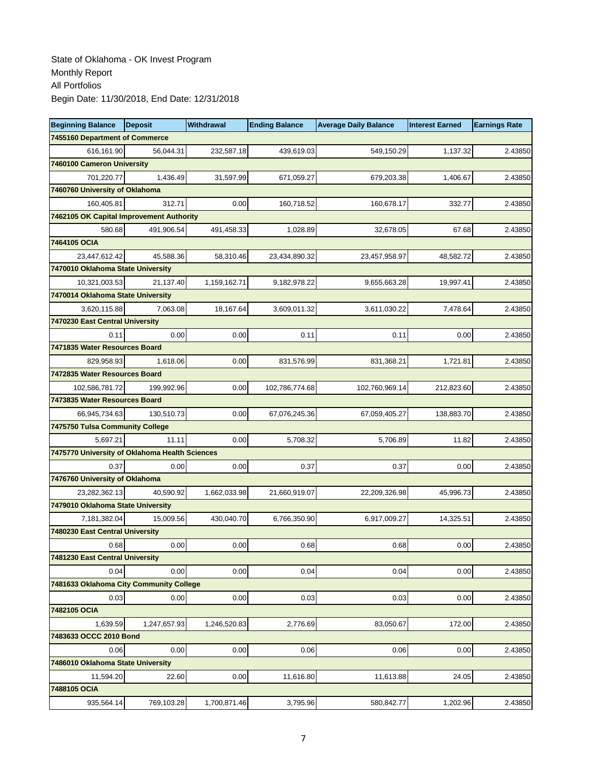| <b>Beginning Balance</b>                       | <b>Deposit</b> | Withdrawal   | <b>Ending Balance</b> | <b>Average Daily Balance</b> | <b>Interest Earned</b> | <b>Earnings Rate</b> |
|------------------------------------------------|----------------|--------------|-----------------------|------------------------------|------------------------|----------------------|
| 7455160 Department of Commerce                 |                |              |                       |                              |                        |                      |
| 616,161.90                                     | 56,044.31      | 232,587.18   | 439,619.03            | 549,150.29                   | 1,137.32               | 2.43850              |
| 7460100 Cameron University                     |                |              |                       |                              |                        |                      |
| 701,220.77                                     | 1,436.49       | 31,597.99    | 671,059.27            | 679,203.38                   | 1,406.67               | 2.43850              |
| 7460760 University of Oklahoma                 |                |              |                       |                              |                        |                      |
| 160,405.81                                     | 312.71         | 0.00         | 160,718.52            | 160,678.17                   | 332.77                 | 2.43850              |
| 7462105 OK Capital Improvement Authority       |                |              |                       |                              |                        |                      |
| 580.68                                         | 491,906.54     | 491,458.33   | 1,028.89              | 32,678.05                    | 67.68                  | 2.43850              |
| 7464105 OCIA                                   |                |              |                       |                              |                        |                      |
| 23,447,612.42                                  | 45,588.36      | 58,310.46    | 23,434,890.32         | 23,457,958.97                | 48,582.72              | 2.43850              |
| 7470010 Oklahoma State University              |                |              |                       |                              |                        |                      |
| 10,321,003.53                                  | 21,137.40      | 1,159,162.71 | 9,182,978.22          | 9,655,663.28                 | 19,997.41              | 2.43850              |
| 7470014 Oklahoma State University              |                |              |                       |                              |                        |                      |
| 3,620,115.88                                   | 7,063.08       | 18,167.64    | 3,609,011.32          | 3,611,030.22                 | 7,478.64               | 2.43850              |
| 7470230 East Central University                |                |              |                       |                              |                        |                      |
| 0.11                                           | 0.00           | 0.00         | 0.11                  | 0.11                         | 0.00                   | 2.43850              |
| 7471835 Water Resources Board                  |                |              |                       |                              |                        |                      |
| 829,958.93                                     | 1,618.06       | 0.00         | 831,576.99            | 831,368.21                   | 1,721.81               | 2.43850              |
| 7472835 Water Resources Board                  |                |              |                       |                              |                        |                      |
| 102,586,781.72                                 | 199,992.96     | 0.00         | 102,786,774.68        | 102,760,969.14               | 212,823.60             | 2.43850              |
| 7473835 Water Resources Board                  |                |              |                       |                              |                        |                      |
| 66,945,734.63                                  | 130.510.73     | 0.00         | 67,076,245.36         | 67,059,405.27                | 138,883.70             | 2.43850              |
| 7475750 Tulsa Community College                |                |              |                       |                              |                        |                      |
| 5.697.21                                       | 11.11          | 0.00         | 5,708.32              | 5,706.89                     | 11.82                  | 2.43850              |
| 7475770 University of Oklahoma Health Sciences |                |              |                       |                              |                        |                      |
| 0.37                                           | 0.00           | 0.00         | 0.37                  | 0.37                         | 0.00                   | 2.43850              |
| 7476760 University of Oklahoma                 |                |              |                       |                              |                        |                      |
| 23,282,362.13                                  | 40,590.92      | 1,662,033.98 | 21,660,919.07         | 22,209,326.98                | 45,996.73              | 2.43850              |
| 7479010 Oklahoma State University              |                |              |                       |                              |                        |                      |
| 7,181,382.04                                   | 15,009.56      | 430,040.70   | 6,766,350.90          | 6,917,009.27                 | 14,325.51              | 2.43850              |
| 7480230 East Central University                |                |              |                       |                              |                        |                      |
| 0.68                                           | 0.00           | 0.00         | 0.68                  | 0.68                         | 0.00                   | 2.43850              |
| 7481230 East Central University                |                |              |                       |                              |                        |                      |
| 0.04                                           | 0.00           | 0.00         | 0.04                  | 0.04                         | 0.00                   | 2.43850              |
| 7481633 Oklahoma City Community College        |                |              |                       |                              |                        |                      |
| 0.03                                           | 0.00           | 0.00         | 0.03                  | 0.03                         | 0.00                   | 2.43850              |
| 7482105 OCIA                                   |                |              |                       |                              |                        |                      |
| 1,639.59                                       | 1,247,657.93   | 1,246,520.83 | 2,776.69              | 83,050.67                    | 172.00                 | 2.43850              |
| 7483633 OCCC 2010 Bond                         |                |              |                       |                              |                        |                      |
| 0.06                                           | 0.00           | 0.00         | 0.06                  | 0.06                         | 0.00                   | 2.43850              |
| 7486010 Oklahoma State University              |                |              |                       |                              |                        |                      |
| 11,594.20                                      | 22.60          | 0.00         | 11,616.80             | 11,613.88                    | 24.05                  | 2.43850              |
| 7488105 OCIA                                   |                |              |                       |                              |                        |                      |
| 935,564.14                                     | 769,103.28     | 1,700,871.46 | 3,795.96              | 580,842.77                   | 1,202.96               | 2.43850              |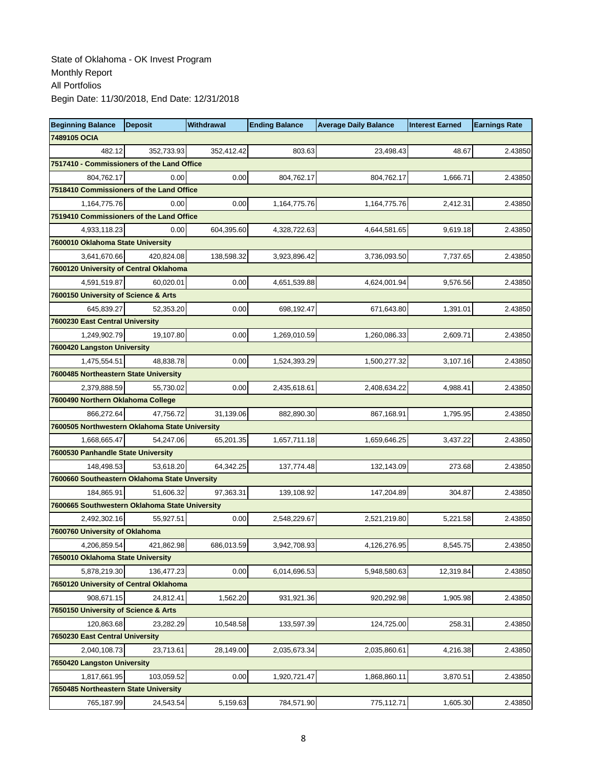| <b>Beginning Balance</b>                       | <b>Deposit</b> | Withdrawal | <b>Ending Balance</b> | <b>Average Daily Balance</b> | <b>Interest Earned</b> | <b>Earnings Rate</b> |
|------------------------------------------------|----------------|------------|-----------------------|------------------------------|------------------------|----------------------|
| 7489105 OCIA                                   |                |            |                       |                              |                        |                      |
| 482.12                                         | 352,733.93     | 352,412.42 | 803.63                | 23.498.43                    | 48.67                  | 2.43850              |
| 7517410 - Commissioners of the Land Office     |                |            |                       |                              |                        |                      |
| 804,762.17                                     | 0.00           | 0.00       | 804,762.17            | 804,762.17                   | 1,666.71               | 2.43850              |
| 7518410 Commissioners of the Land Office       |                |            |                       |                              |                        |                      |
| 1,164,775.76                                   | 0.00           | 0.00       | 1,164,775.76          | 1,164,775.76                 | 2,412.31               | 2.43850              |
| 7519410 Commissioners of the Land Office       |                |            |                       |                              |                        |                      |
| 4,933,118.23                                   | 0.00           | 604,395.60 | 4,328,722.63          | 4,644,581.65                 | 9,619.18               | 2.43850              |
| 7600010 Oklahoma State University              |                |            |                       |                              |                        |                      |
| 3,641,670.66                                   | 420.824.08     | 138.598.32 | 3,923,896.42          | 3,736,093.50                 | 7,737.65               | 2.43850              |
| 7600120 University of Central Oklahoma         |                |            |                       |                              |                        |                      |
| 4,591,519.87                                   | 60,020.01      | 0.00       | 4,651,539.88          | 4,624,001.94                 | 9,576.56               | 2.43850              |
| 7600150 University of Science & Arts           |                |            |                       |                              |                        |                      |
| 645.839.27                                     | 52.353.20      | 0.00       | 698,192.47            | 671,643.80                   | 1,391.01               | 2.43850              |
| 7600230 East Central University                |                |            |                       |                              |                        |                      |
| 1,249,902.79                                   | 19,107.80      | 0.00       | 1,269,010.59          | 1,260,086.33                 | 2,609.71               | 2.43850              |
| 7600420 Langston University                    |                |            |                       |                              |                        |                      |
| 1,475,554.51                                   | 48,838.78      | 0.00       | 1,524,393.29          | 1,500,277.32                 | 3,107.16               | 2.43850              |
| 7600485 Northeastern State University          |                |            |                       |                              |                        |                      |
| 2,379,888.59                                   | 55,730.02      | 0.00       | 2,435,618.61          | 2,408,634.22                 | 4,988.41               | 2.43850              |
| 7600490 Northern Oklahoma College              |                |            |                       |                              |                        |                      |
| 866,272.64                                     | 47,756.72      | 31,139.06  | 882,890.30            | 867,168.91                   | 1,795.95               | 2.43850              |
| 7600505 Northwestern Oklahoma State University |                |            |                       |                              |                        |                      |
| 1,668,665.47                                   | 54,247.06      | 65,201.35  | 1,657,711.18          | 1,659,646.25                 | 3,437.22               | 2.43850              |
| 7600530 Panhandle State University             |                |            |                       |                              |                        |                      |
| 148,498.53                                     | 53,618.20      | 64,342.25  | 137,774.48            | 132,143.09                   | 273.68                 | 2.43850              |
| 7600660 Southeastern Oklahoma State Unversity  |                |            |                       |                              |                        |                      |
| 184,865.91                                     | 51,606.32      | 97,363.31  | 139,108.92            | 147,204.89                   | 304.87                 | 2.43850              |
| 7600665 Southwestern Oklahoma State University |                |            |                       |                              |                        |                      |
| 2,492,302.16                                   | 55.927.51      | 0.00       | 2,548,229.67          | 2,521,219.80                 | 5,221.58               | 2.43850              |
| 7600760 University of Oklahoma                 |                |            |                       |                              |                        |                      |
| 4,206,859.54                                   | 421,862.98     | 686,013.59 | 3,942,708.93          | 4,126,276.95                 | 8,545.75               | 2.43850              |
| 7650010 Oklahoma State University              |                |            |                       |                              |                        |                      |
| 5,878,219.30                                   | 136.477.23     | 0.00       | 6,014,696.53          | 5,948,580.63                 | 12,319.84              | 2.43850              |
| 7650120 University of Central Oklahoma         |                |            |                       |                              |                        |                      |
| 908,671.15                                     | 24,812.41      | 1,562.20   | 931,921.36            | 920,292.98                   | 1,905.98               | 2.43850              |
| 7650150 University of Science & Arts           |                |            |                       |                              |                        |                      |
| 120,863.68                                     | 23,282.29      | 10,548.58  | 133,597.39            | 124,725.00                   | 258.31                 | 2.43850              |
| 7650230 East Central University                |                |            |                       |                              |                        |                      |
| 2,040,108.73                                   | 23,713.61      | 28,149.00  | 2,035,673.34          | 2,035,860.61                 | 4,216.38               | 2.43850              |
| 7650420 Langston University                    |                |            |                       |                              |                        |                      |
| 1,817,661.95                                   | 103,059.52     | 0.00       | 1,920,721.47          | 1,868,860.11                 | 3,870.51               | 2.43850              |
| 7650485 Northeastern State University          |                |            |                       |                              |                        |                      |
| 765,187.99                                     | 24,543.54      | 5,159.63   | 784,571.90            | 775,112.71                   | 1,605.30               | 2.43850              |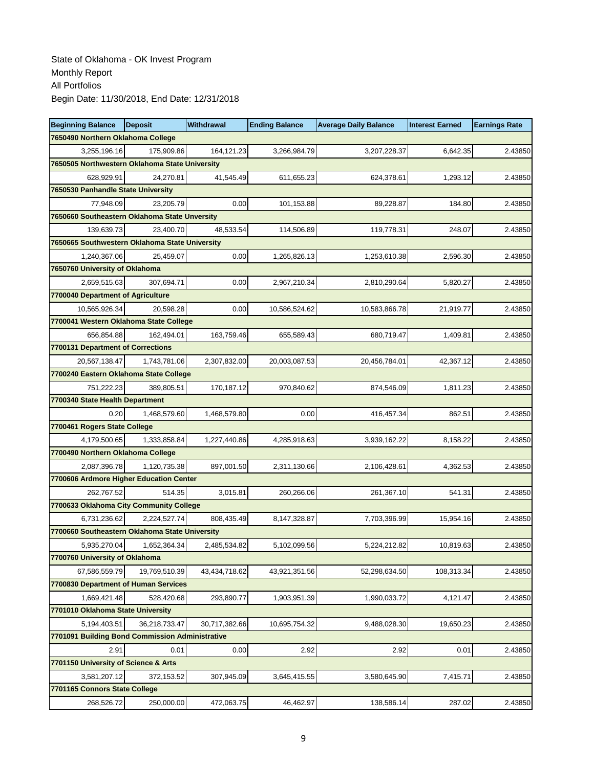| <b>Beginning Balance</b>                        | <b>Deposit</b> | Withdrawal    | <b>Ending Balance</b> | <b>Average Daily Balance</b> | <b>Interest Earned</b> | <b>Earnings Rate</b> |
|-------------------------------------------------|----------------|---------------|-----------------------|------------------------------|------------------------|----------------------|
| 7650490 Northern Oklahoma College               |                |               |                       |                              |                        |                      |
| 3,255,196.16                                    | 175.909.86     | 164,121.23    | 3,266,984.79          | 3,207,228.37                 | 6,642.35               | 2.43850              |
| 7650505 Northwestern Oklahoma State University  |                |               |                       |                              |                        |                      |
| 628,929.91                                      | 24,270.81      | 41,545.49     | 611,655.23            | 624,378.61                   | 1,293.12               | 2.43850              |
| 7650530 Panhandle State University              |                |               |                       |                              |                        |                      |
| 77,948.09                                       | 23,205.79      | 0.00          | 101,153.88            | 89,228.87                    | 184.80                 | 2.43850              |
| 7650660 Southeastern Oklahoma State Unversity   |                |               |                       |                              |                        |                      |
| 139,639.73                                      | 23,400.70      | 48,533.54     | 114,506.89            | 119,778.31                   | 248.07                 | 2.43850              |
| 7650665 Southwestern Oklahoma State University  |                |               |                       |                              |                        |                      |
| 1,240,367.06                                    | 25,459.07      | 0.00          | 1,265,826.13          | 1,253,610.38                 | 2,596.30               | 2.43850              |
| 7650760 University of Oklahoma                  |                |               |                       |                              |                        |                      |
| 2,659,515.63                                    | 307,694.71     | 0.00          | 2,967,210.34          | 2,810,290.64                 | 5,820.27               | 2.43850              |
| 7700040 Department of Agriculture               |                |               |                       |                              |                        |                      |
| 10,565,926.34                                   | 20,598.28      | 0.00          | 10,586,524.62         | 10,583,866.78                | 21,919.77              | 2.43850              |
| 7700041 Western Oklahoma State College          |                |               |                       |                              |                        |                      |
| 656,854.88                                      | 162,494.01     | 163,759.46    | 655,589.43            | 680,719.47                   | 1,409.81               | 2.43850              |
| 7700131 Department of Corrections               |                |               |                       |                              |                        |                      |
| 20,567,138.47                                   | 1,743,781.06   | 2,307,832.00  | 20,003,087.53         | 20,456,784.01                | 42,367.12              | 2.43850              |
| 7700240 Eastern Oklahoma State College          |                |               |                       |                              |                        |                      |
| 751,222.23                                      | 389,805.51     | 170,187.12    | 970,840.62            | 874,546.09                   | 1,811.23               | 2.43850              |
| 7700340 State Health Department                 |                |               |                       |                              |                        |                      |
| 0.20                                            | 1,468,579.60   | 1,468,579.80  | 0.00                  | 416,457.34                   | 862.51                 | 2.43850              |
| 7700461 Rogers State College                    |                |               |                       |                              |                        |                      |
| 4,179,500.65                                    | 1,333,858.84   | 1,227,440.86  | 4,285,918.63          | 3,939,162.22                 | 8,158.22               | 2.43850              |
| 7700490 Northern Oklahoma College               |                |               |                       |                              |                        |                      |
| 2,087,396.78                                    | 1,120,735.38   | 897,001.50    | 2,311,130.66          | 2,106,428.61                 | 4,362.53               | 2.43850              |
| 7700606 Ardmore Higher Education Center         |                |               |                       |                              |                        |                      |
| 262,767.52                                      | 514.35         | 3,015.81      | 260,266.06            | 261,367.10                   | 541.31                 | 2.43850              |
| 7700633 Oklahoma City Community College         |                |               |                       |                              |                        |                      |
| 6,731,236.62                                    | 2,224,527.74   | 808,435.49    | 8,147,328.87          | 7,703,396.99                 | 15,954.16              | 2.43850              |
| 7700660 Southeastern Oklahoma State University  |                |               |                       |                              |                        |                      |
| 5,935,270.04                                    | 1,652,364.34   | 2,485,534.82  | 5,102,099.56          | 5,224,212.82                 | 10,819.63              | 2.43850              |
| 7700760 University of Oklahoma                  |                |               |                       |                              |                        |                      |
| 67,586,559.79                                   | 19,769,510.39  | 43,434,718.62 | 43,921,351.56         | 52,298,634.50                | 108,313.34             | 2.43850              |
| 7700830 Department of Human Services            |                |               |                       |                              |                        |                      |
| 1,669,421.48                                    | 528,420.68     | 293,890.77    | 1,903,951.39          | 1,990,033.72                 | 4,121.47               | 2.43850              |
| 7701010 Oklahoma State University               |                |               |                       |                              |                        |                      |
| 5,194,403.51                                    | 36,218,733.47  | 30,717,382.66 | 10,695,754.32         | 9,488,028.30                 | 19,650.23              | 2.43850              |
| 7701091 Building Bond Commission Administrative |                |               |                       |                              |                        |                      |
| 2.91                                            | 0.01           | 0.00          | 2.92                  | 2.92                         | 0.01                   | 2.43850              |
| 7701150 University of Science & Arts            |                |               |                       |                              |                        |                      |
| 3,581,207.12                                    | 372,153.52     | 307,945.09    | 3,645,415.55          | 3,580,645.90                 | 7,415.71               | 2.43850              |
| 7701165 Connors State College                   |                |               |                       |                              |                        |                      |
| 268,526.72                                      | 250,000.00     | 472,063.75    | 46,462.97             | 138,586.14                   | 287.02                 | 2.43850              |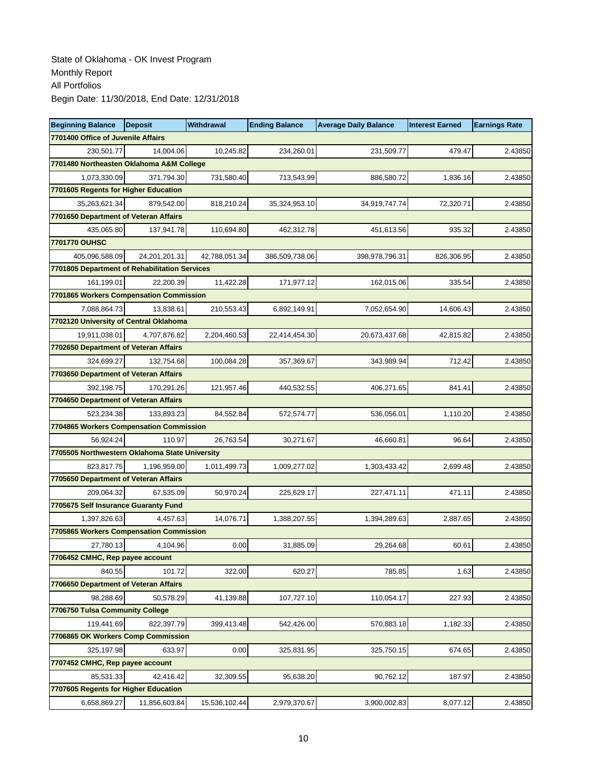| <b>Beginning Balance</b>                       | <b>Deposit</b> | <b>Withdrawal</b> | <b>Ending Balance</b> | <b>Average Daily Balance</b> | <b>Interest Earned</b> | <b>Earnings Rate</b> |
|------------------------------------------------|----------------|-------------------|-----------------------|------------------------------|------------------------|----------------------|
| 7701400 Office of Juvenile Affairs             |                |                   |                       |                              |                        |                      |
| 230,501.77                                     | 14,004.06      | 10,245.82         | 234,260.01            | 231,509.77                   | 479.47                 | 2.43850              |
| 7701480 Northeasten Oklahoma A&M College       |                |                   |                       |                              |                        |                      |
| 1,073,330.09                                   | 371,794.30     | 731,580.40        | 713,543.99            | 886,580.72                   | 1,836.16               | 2.43850              |
| 7701605 Regents for Higher Education           |                |                   |                       |                              |                        |                      |
| 35,263,621.34                                  | 879,542.00     | 818,210.24        | 35,324,953.10         | 34,919,747.74                | 72,320.71              | 2.43850              |
| 7701650 Department of Veteran Affairs          |                |                   |                       |                              |                        |                      |
| 435,065.80                                     | 137,941.78     | 110,694.80        | 462,312.78            | 451,613.56                   | 935.32                 | 2.43850              |
| 7701770 OUHSC                                  |                |                   |                       |                              |                        |                      |
| 405,096,588.09                                 | 24,201,201.31  | 42,788,051.34     | 386,509,738.06        | 398,978,796.31               | 826,306.95             | 2.43850              |
| 7701805 Department of Rehabilitation Services  |                |                   |                       |                              |                        |                      |
| 161,199.01                                     | 22,200.39      | 11,422.28         | 171,977.12            | 162,015.06                   | 335.54                 | 2.43850              |
| 7701865 Workers Compensation Commission        |                |                   |                       |                              |                        |                      |
| 7,088,864.73                                   | 13.838.61      | 210,553.43        | 6,892,149.91          | 7,052,654.90                 | 14,606.43              | 2.43850              |
| 7702120 University of Central Oklahoma         |                |                   |                       |                              |                        |                      |
| 19,911,038.01                                  | 4,707,876.82   | 2,204,460.53      | 22,414,454.30         | 20,673,437.68                | 42.815.82              | 2.43850              |
| 7702650 Department of Veteran Affairs          |                |                   |                       |                              |                        |                      |
| 324,699.27                                     | 132.754.68     | 100,084.28        | 357,369.67            | 343,989.94                   | 712.42                 | 2.43850              |
| 7703650 Department of Veteran Affairs          |                |                   |                       |                              |                        |                      |
| 392,198.75                                     | 170,291.26     | 121,957.46        | 440,532.55            | 406,271.65                   | 841.41                 | 2.43850              |
| 7704650 Department of Veteran Affairs          |                |                   |                       |                              |                        |                      |
| 523,234.38                                     | 133,893.23     | 84,552.84         | 572,574.77            | 536,056.01                   | 1,110.20               | 2.43850              |
| 7704865 Workers Compensation Commission        |                |                   |                       |                              |                        |                      |
| 56,924.24                                      | 110.97         | 26,763.54         | 30,271.67             | 46,660.81                    | 96.64                  | 2.43850              |
| 7705505 Northwestern Oklahoma State University |                |                   |                       |                              |                        |                      |
| 823,817.75                                     | 1,196,959.00   | 1,011,499.73      | 1,009,277.02          | 1,303,433.42                 | 2,699.48               | 2.43850              |
| 7705650 Department of Veteran Affairs          |                |                   |                       |                              |                        |                      |
| 209,064.32                                     | 67,535.09      | 50,970.24         | 225,629.17            | 227,471.11                   | 471.11                 | 2.43850              |
| 7705675 Self Insurance Guaranty Fund           |                |                   |                       |                              |                        |                      |
| 1,397,826.63                                   | 4,457.63       | 14,076.71         | 1,388,207.55          | 1,394,289.63                 | 2,887.65               | 2.43850              |
| 7705865 Workers Compensation Commission        |                |                   |                       |                              |                        |                      |
| 27,780.13                                      | 4,104.96       | 0.00              | 31,885.09             | 29,264.68                    | 60.61                  | 2.43850              |
| 7706452 CMHC, Rep payee account                |                |                   |                       |                              |                        |                      |
| 840.55                                         | 101.72         | 322.00            | 620.27                | 785.85                       | 1.63                   | 2.43850              |
| 7706650 Department of Veteran Affairs          |                |                   |                       |                              |                        |                      |
| 98,288.69                                      | 50,578.29      | 41,139.88         | 107,727.10            | 110,054.17                   | 227.93                 | 2.43850              |
| 7706750 Tulsa Community College                |                |                   |                       |                              |                        |                      |
| 119,441.69                                     | 822,397.79     | 399,413.48        | 542,426.00            | 570,883.18                   | 1,182.33               | 2.43850              |
| 7706865 OK Workers Comp Commission             |                |                   |                       |                              |                        |                      |
| 325,197.98                                     | 633.97         | 0.00              | 325,831.95            | 325,750.15                   | 674.65                 | 2.43850              |
| 7707452 CMHC, Rep payee account                |                |                   |                       |                              |                        |                      |
| 85,531.33                                      | 42,416.42      | 32,309.55         | 95,638.20             | 90,762.12                    | 187.97                 | 2.43850              |
| 7707605 Regents for Higher Education           |                |                   |                       |                              |                        |                      |
| 6,658,869.27                                   | 11,856,603.84  | 15,536,102.44     | 2,979,370.67          | 3,900,002.83                 | 8,077.12               | 2.43850              |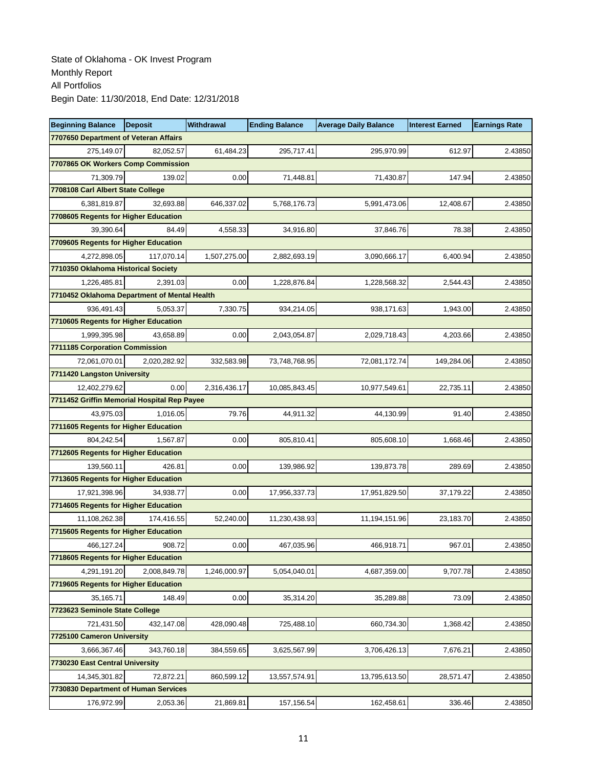| <b>Beginning Balance</b>                     | <b>Deposit</b> | Withdrawal   | <b>Ending Balance</b> | <b>Average Daily Balance</b> | <b>Interest Earned</b> | <b>Earnings Rate</b> |
|----------------------------------------------|----------------|--------------|-----------------------|------------------------------|------------------------|----------------------|
| 7707650 Department of Veteran Affairs        |                |              |                       |                              |                        |                      |
| 275,149.07                                   | 82,052.57      | 61,484.23    | 295,717.41            | 295,970.99                   | 612.97                 | 2.43850              |
| 7707865 OK Workers Comp Commission           |                |              |                       |                              |                        |                      |
| 71,309.79                                    | 139.02         | 0.00         | 71,448.81             | 71,430.87                    | 147.94                 | 2.43850              |
| 7708108 Carl Albert State College            |                |              |                       |                              |                        |                      |
| 6,381,819.87                                 | 32,693.88      | 646,337.02   | 5,768,176.73          | 5,991,473.06                 | 12,408.67              | 2.43850              |
| 7708605 Regents for Higher Education         |                |              |                       |                              |                        |                      |
| 39,390.64                                    | 84.49          | 4,558.33     | 34,916.80             | 37,846.76                    | 78.38                  | 2.43850              |
| 7709605 Regents for Higher Education         |                |              |                       |                              |                        |                      |
| 4,272,898.05                                 | 117.070.14     | 1,507,275.00 | 2,882,693.19          | 3,090,666.17                 | 6,400.94               | 2.43850              |
| 7710350 Oklahoma Historical Society          |                |              |                       |                              |                        |                      |
| 1,226,485.81                                 | 2,391.03       | 0.00         | 1,228,876.84          | 1,228,568.32                 | 2,544.43               | 2.43850              |
| 7710452 Oklahoma Department of Mental Health |                |              |                       |                              |                        |                      |
| 936,491.43                                   | 5,053.37       | 7,330.75     | 934,214.05            | 938,171.63                   | 1.943.00               | 2.43850              |
| 7710605 Regents for Higher Education         |                |              |                       |                              |                        |                      |
| 1,999,395.98                                 | 43.658.89      | 0.00         | 2,043,054.87          | 2,029,718.43                 | 4,203.66               | 2.43850              |
| 7711185 Corporation Commission               |                |              |                       |                              |                        |                      |
| 72,061,070.01                                | 2,020,282.92   | 332,583.98   | 73,748,768.95         | 72,081,172.74                | 149,284.06             | 2.43850              |
| 7711420 Langston University                  |                |              |                       |                              |                        |                      |
| 12,402,279.62                                | 0.00           | 2,316,436.17 | 10,085,843.45         | 10,977,549.61                | 22,735.11              | 2.43850              |
| 7711452 Griffin Memorial Hospital Rep Payee  |                |              |                       |                              |                        |                      |
| 43,975.03                                    | 1,016.05       | 79.76        | 44,911.32             | 44,130.99                    | 91.40                  | 2.43850              |
| 7711605 Regents for Higher Education         |                |              |                       |                              |                        |                      |
| 804,242.54                                   | 1,567.87       | 0.00         | 805,810.41            | 805,608.10                   | 1,668.46               | 2.43850              |
| 7712605 Regents for Higher Education         |                |              |                       |                              |                        |                      |
| 139,560.11                                   | 426.81         | 0.00         | 139,986.92            | 139,873.78                   | 289.69                 | 2.43850              |
| 7713605 Regents for Higher Education         |                |              |                       |                              |                        |                      |
| 17,921,398.96                                | 34,938.77      | 0.00         | 17,956,337.73         | 17,951,829.50                | 37,179.22              | 2.43850              |
| 7714605 Regents for Higher Education         |                |              |                       |                              |                        |                      |
| 11,108,262.38                                | 174.416.55     | 52,240.00    | 11,230,438.93         | 11,194,151.96                | 23,183.70              | 2.43850              |
| 7715605 Regents for Higher Education         |                |              |                       |                              |                        |                      |
| 466,127.24                                   | 908.72         | 0.00         | 467,035.96            | 466,918.71                   | 967.01                 | 2.43850              |
| 7718605 Regents for Higher Education         |                |              |                       |                              |                        |                      |
| 4,291,191.20                                 | 2,008,849.78   | 1,246,000.97 | 5,054,040.01          | 4,687,359.00                 | 9,707.78               | 2.43850              |
| 7719605 Regents for Higher Education         |                |              |                       |                              |                        |                      |
| 35,165.71                                    | 148.49         | 0.00         | 35,314.20             | 35,289.88                    | 73.09                  | 2.43850              |
| 7723623 Seminole State College               |                |              |                       |                              |                        |                      |
| 721,431.50                                   | 432,147.08     | 428,090.48   | 725,488.10            | 660,734.30                   | 1,368.42               | 2.43850              |
| 7725100 Cameron University                   |                |              |                       |                              |                        |                      |
| 3,666,367.46                                 | 343,760.18     | 384,559.65   | 3,625,567.99          | 3,706,426.13                 | 7,676.21               | 2.43850              |
| 7730230 East Central University              |                |              |                       |                              |                        |                      |
| 14,345,301.82                                | 72,872.21      | 860,599.12   | 13,557,574.91         | 13,795,613.50                | 28,571.47              | 2.43850              |
| 7730830 Department of Human Services         |                |              |                       |                              |                        |                      |
| 176,972.99                                   | 2,053.36       | 21,869.81    | 157,156.54            | 162,458.61                   | 336.46                 | 2.43850              |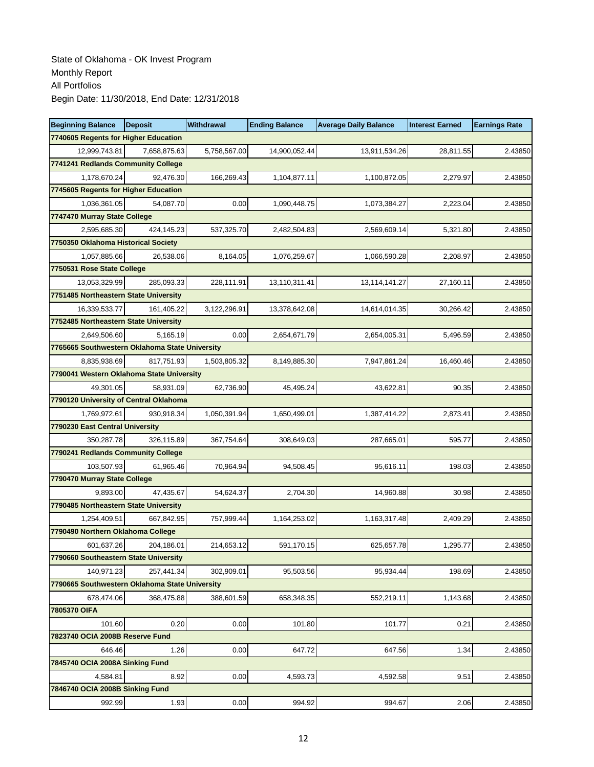| <b>Beginning Balance</b>                       | <b>Deposit</b> | <b>Withdrawal</b> | <b>Ending Balance</b> | <b>Average Daily Balance</b> | <b>Interest Earned</b> | <b>Earnings Rate</b> |
|------------------------------------------------|----------------|-------------------|-----------------------|------------------------------|------------------------|----------------------|
| 7740605 Regents for Higher Education           |                |                   |                       |                              |                        |                      |
| 12,999,743.81                                  | 7,658,875.63   | 5,758,567.00      | 14,900,052.44         | 13,911,534.26                | 28,811.55              | 2.43850              |
| 7741241 Redlands Community College             |                |                   |                       |                              |                        |                      |
| 1,178,670.24                                   | 92.476.30      | 166,269.43        | 1,104,877.11          | 1,100,872.05                 | 2,279.97               | 2.43850              |
| 7745605 Regents for Higher Education           |                |                   |                       |                              |                        |                      |
| 1,036,361.05                                   | 54,087.70      | 0.00              | 1,090,448.75          | 1,073,384.27                 | 2,223.04               | 2.43850              |
| 7747470 Murray State College                   |                |                   |                       |                              |                        |                      |
| 2,595,685.30                                   | 424,145.23     | 537,325.70        | 2,482,504.83          | 2,569,609.14                 | 5,321.80               | 2.43850              |
| 7750350 Oklahoma Historical Society            |                |                   |                       |                              |                        |                      |
| 1,057,885.66                                   | 26.538.06      | 8.164.05          | 1.076.259.67          | 1,066,590.28                 | 2.208.97               | 2.43850              |
| 7750531 Rose State College                     |                |                   |                       |                              |                        |                      |
| 13,053,329.99                                  | 285,093.33     | 228,111.91        | 13,110,311.41         | 13,114,141.27                | 27,160.11              | 2.43850              |
| 7751485 Northeastern State University          |                |                   |                       |                              |                        |                      |
| 16,339,533.77                                  | 161,405.22     | 3,122,296.91      | 13,378,642.08         | 14,614,014.35                | 30,266.42              | 2.43850              |
| 7752485 Northeastern State University          |                |                   |                       |                              |                        |                      |
| 2,649,506.60                                   | 5,165.19       | 0.00              | 2,654,671.79          | 2,654,005.31                 | 5,496.59               | 2.43850              |
| 7765665 Southwestern Oklahoma State University |                |                   |                       |                              |                        |                      |
| 8.835.938.69                                   | 817,751.93     | 1,503,805.32      | 8,149,885.30          | 7,947,861.24                 | 16,460.46              | 2.43850              |
| 7790041 Western Oklahoma State University      |                |                   |                       |                              |                        |                      |
| 49,301.05                                      | 58,931.09      | 62,736.90         | 45,495.24             | 43,622.81                    | 90.35                  | 2.43850              |
| 7790120 University of Central Oklahoma         |                |                   |                       |                              |                        |                      |
| 1,769,972.61                                   | 930,918.34     | 1,050,391.94      | 1,650,499.01          | 1,387,414.22                 | 2,873.41               | 2.43850              |
| 7790230 East Central University                |                |                   |                       |                              |                        |                      |
| 350,287.78                                     | 326,115.89     | 367,754.64        | 308,649.03            | 287,665.01                   | 595.77                 | 2.43850              |
| 7790241 Redlands Community College             |                |                   |                       |                              |                        |                      |
| 103,507.93                                     | 61,965.46      | 70,964.94         | 94,508.45             | 95,616.11                    | 198.03                 | 2.43850              |
| 7790470 Murray State College                   |                |                   |                       |                              |                        |                      |
| 9,893.00                                       | 47,435.67      | 54,624.37         | 2,704.30              | 14,960.88                    | 30.98                  | 2.43850              |
| 7790485 Northeastern State University          |                |                   |                       |                              |                        |                      |
| 1,254,409.51                                   | 667.842.95     | 757,999.44        | 1,164,253.02          | 1,163,317.48                 | 2,409.29               | 2.43850              |
| 7790490 Northern Oklahoma College              |                |                   |                       |                              |                        |                      |
| 601,637.26                                     | 204,186.01     | 214,653.12        | 591,170.15            | 625,657.78                   | 1,295.77               | 2.43850              |
| 7790660 Southeastern State University          |                |                   |                       |                              |                        |                      |
| 140.971.23                                     | 257,441.34     | 302,909.01        | 95,503.56             | 95,934.44                    | 198.69                 | 2.43850              |
| 7790665 Southwestern Oklahoma State University |                |                   |                       |                              |                        |                      |
| 678,474.06                                     | 368,475.88     | 388,601.59        | 658,348.35            | 552,219.11                   | 1,143.68               | 2.43850              |
| 7805370 OIFA                                   |                |                   |                       |                              |                        |                      |
| 101.60                                         | 0.20           | 0.00              | 101.80                | 101.77                       | 0.21                   | 2.43850              |
| 7823740 OCIA 2008B Reserve Fund                |                |                   |                       |                              |                        |                      |
| 646.46                                         | 1.26           | 0.00              | 647.72                | 647.56                       | 1.34                   | 2.43850              |
| 7845740 OCIA 2008A Sinking Fund                |                |                   |                       |                              |                        |                      |
| 4,584.81                                       | 8.92           | 0.00              | 4,593.73              | 4,592.58                     | 9.51                   | 2.43850              |
| 7846740 OCIA 2008B Sinking Fund                |                |                   |                       |                              |                        |                      |
| 992.99                                         | 1.93           | 0.00              | 994.92                | 994.67                       | 2.06                   | 2.43850              |